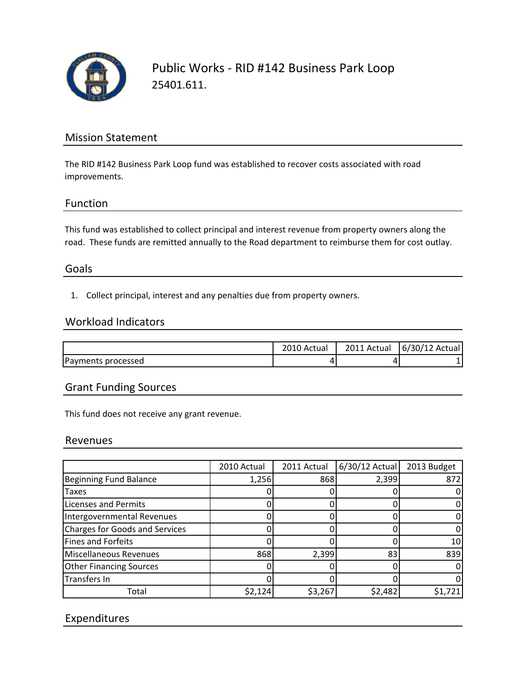

Public Works ‐ RID #142 Business Park Loop 25401.611.

# Mission Statement

The RID #142 Business Park Loop fund was established to recover costs associated with road improvements.

## Function

This fund was established to collect principal and interest revenue from property owners along the road. These funds are remitted annually to the Road department to reimburse them for cost outlay.

## Goals

1. Collect principal, interest and any penalties due from property owners.

#### Workload Indicators

|                    | Actual | 2011 Actual | 6/30/12 Actual |
|--------------------|--------|-------------|----------------|
| Payments processed | ப      |             |                |

## Grant Funding Sources

This fund does not receive any grant revenue.

#### Revenues

|                                       | 2010 Actual | 2011 Actual | $6/30/12$ Actual | 2013 Budget |
|---------------------------------------|-------------|-------------|------------------|-------------|
| <b>Beginning Fund Balance</b>         | 1,256       | 868         | 2,399            | 872         |
| <b>Taxes</b>                          |             |             |                  |             |
| <b>Licenses and Permits</b>           |             |             |                  |             |
| Intergovernmental Revenues            |             |             |                  |             |
| <b>Charges for Goods and Services</b> |             |             |                  |             |
| Fines and Forfeits                    |             |             |                  | 10          |
| Miscellaneous Revenues                | 868         | 2,399       | 83               | 839         |
| <b>Other Financing Sources</b>        |             |             |                  |             |
| Transfers In                          |             |             |                  |             |
| Total                                 | \$2,124     | \$3,267     | \$2,482          | \$1,721     |

# Expenditures